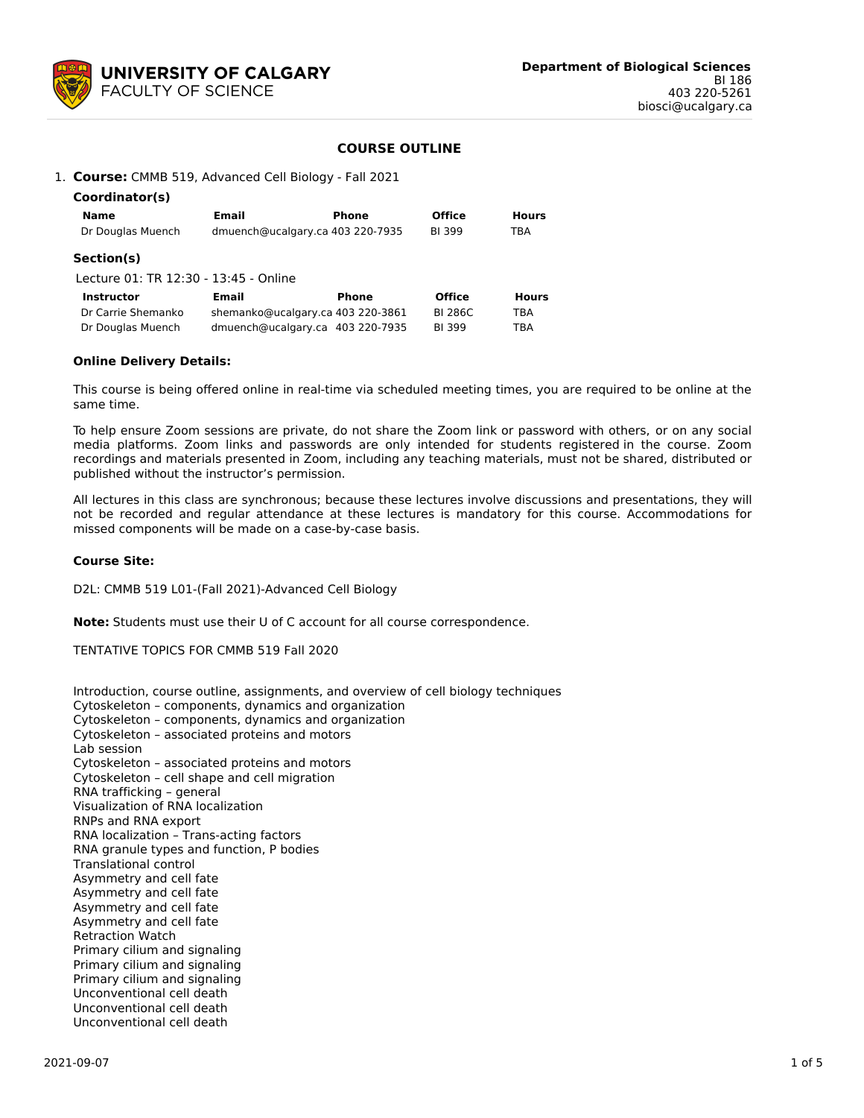

# **COURSE OUTLINE**

1. **Course:** CMMB 519, Advanced Cell Biology - Fall 2021

| Coordinator(s)                        |                                   |              |                |              |
|---------------------------------------|-----------------------------------|--------------|----------------|--------------|
| <b>Name</b>                           | Email                             | Phone        | <b>Office</b>  | <b>Hours</b> |
| Dr Douglas Muench                     | dmuench@ucalgary.ca 403 220-7935  |              | <b>BI399</b>   | TBA          |
| Section(s)                            |                                   |              |                |              |
| Lecture 01: TR 12:30 - 13:45 - Online |                                   |              |                |              |
| Instructor                            | Email                             | <b>Phone</b> | <b>Office</b>  | <b>Hours</b> |
| Dr Carrie Shemanko                    | shemanko@ucalgary.ca 403 220-3861 |              | <b>BI 286C</b> | TBA          |
| Dr Douglas Muench                     | dmuench@ucalgary.ca 403 220-7935  |              | <b>BI399</b>   | TBA          |
|                                       |                                   |              |                |              |

# **Online Delivery Details:**

This course is being offered online in real-time via scheduled meeting times, you are required to be online at the same time.

To help ensure Zoom sessions are private, do not share the Zoom link or password with others, or on any social media platforms. Zoom links and passwords are only intended for students registered in the course. Zoom recordings and materials presented in Zoom, including any teaching materials, must not be shared, distributed or published without the instructor's permission.

All lectures in this class are synchronous; because these lectures involve discussions and presentations, they will not be recorded and regular attendance at these lectures is mandatory for this course. Accommodations for missed components will be made on a case-by-case basis.

#### **Course Site:**

D2L: CMMB 519 L01-(Fall 2021)-Advanced Cell Biology

**Note:** Students must use their U of C account for all course correspondence.

TENTATIVE TOPICS FOR CMMB 519 Fall 2020

Introduction, course outline, assignments, and overview of cell biology techniques Cytoskeleton – components, dynamics and organization Cytoskeleton – components, dynamics and organization Cytoskeleton – associated proteins and motors Lab session Cytoskeleton – associated proteins and motors Cytoskeleton – cell shape and cell migration RNA trafficking – general Visualization of RNA localization RNPs and RNA export RNA localization – Trans-acting factors RNA granule types and function, P bodies Translational control Asymmetry and cell fate Asymmetry and cell fate Asymmetry and cell fate Asymmetry and cell fate Retraction Watch Primary cilium and signaling Primary cilium and signaling Primary cilium and signaling Unconventional cell death Unconventional cell death Unconventional cell death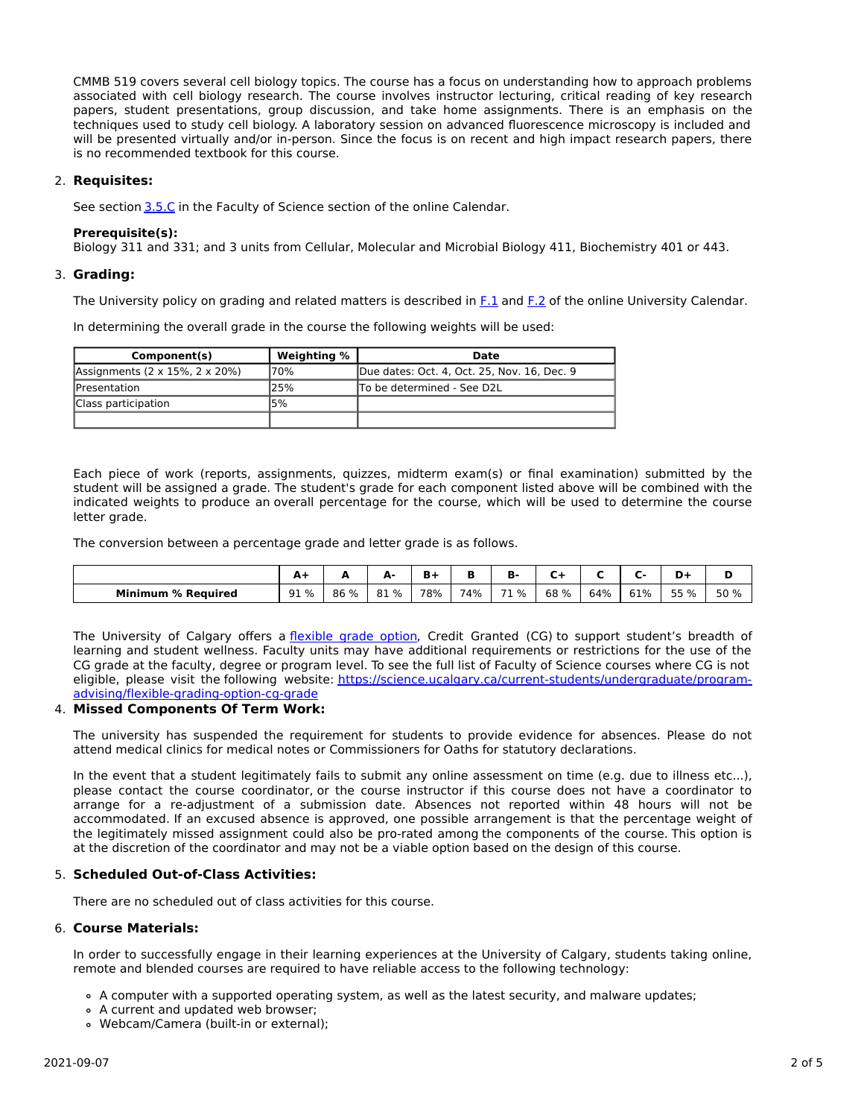CMMB 519 covers several cell biology topics. The course has a focus on understanding how to approach problems associated with cell biology research. The course involves instructor lecturing, critical reading of key research papers, student presentations, group discussion, and take home assignments. There is an emphasis on the techniques used to study cell biology. A laboratory session on advanced fluorescence microscopy is included and will be presented virtually and/or in-person. Since the focus is on recent and high impact research papers, there is no recommended textbook for this course.

# 2. **Requisites:**

See section [3.5.C](http://www.ucalgary.ca/pubs/calendar/current/sc-3-5.html) in the Faculty of Science section of the online Calendar.

#### **Prerequisite(s):**

Biology 311 and 331; and 3 units from Cellular, Molecular and Microbial Biology 411, Biochemistry 401 or 443.

# 3. **Grading:**

The University policy on grading and related matters is described in [F.1](http://www.ucalgary.ca/pubs/calendar/current/f-1.html) and [F.2](http://www.ucalgary.ca/pubs/calendar/current/f-2.html) of the online University Calendar.

In determining the overall grade in the course the following weights will be used:

| Component(s)                   | Weighting % | Date                                        |
|--------------------------------|-------------|---------------------------------------------|
| Assignments (2 x 15%, 2 x 20%) | 70%         | Due dates: Oct. 4, Oct. 25, Nov. 16, Dec. 9 |
| <b>IPresentation</b>           | 25%         | To be determined - See D2L                  |
| Class participation            | 15%         |                                             |
|                                |             |                                             |

Each piece of work (reports, assignments, quizzes, midterm exam(s) or final examination) submitted by the student will be assigned a grade. The student's grade for each component listed above will be combined with the indicated weights to produce an overall percentage for the course, which will be used to determine the course letter grade.

The conversion between a percentage grade and letter grade is as follows.

|                           | A+   |      | А.<br>-     | D.  |     | в.      |      |     |     | D+<br>. . |      |
|---------------------------|------|------|-------------|-----|-----|---------|------|-----|-----|-----------|------|
| <b>Minimum % Required</b> | 91 % | 86 % | 81 %<br>.8T | 78% | 74% | 71<br>% | 68 % | 64% | 61% | 55 %      | 50 % |

The University of Calgary offers a [flexible](https://www.ucalgary.ca/pubs/calendar/current/f-1-3.html) grade option, Credit Granted (CG) to support student's breadth of learning and student wellness. Faculty units may have additional requirements or restrictions for the use of the CG grade at the faculty, degree or program level. To see the full list of Faculty of Science courses where CG is not eligible, please visit the following website: [https://science.ucalgary.ca/current-students/undergraduate/program](https://science.ucalgary.ca/current-students/undergraduate/program-advising/flexible-grading-option-cg-grade)advising/flexible-grading-option-cg-grade

# 4. **Missed Components Of Term Work:**

The university has suspended the requirement for students to provide evidence for absences. Please do not attend medical clinics for medical notes or Commissioners for Oaths for statutory declarations.

In the event that a student legitimately fails to submit any online assessment on time (e.g. due to illness etc...), please contact the course coordinator, or the course instructor if this course does not have a coordinator to arrange for a re-adjustment of a submission date. Absences not reported within 48 hours will not be accommodated. If an excused absence is approved, one possible arrangement is that the percentage weight of the legitimately missed assignment could also be pro-rated among the components of the course. This option is at the discretion of the coordinator and may not be a viable option based on the design of this course.

# 5. **Scheduled Out-of-Class Activities:**

There are no scheduled out of class activities for this course.

# 6. **Course Materials:**

In order to successfully engage in their learning experiences at the University of Calgary, students taking online, remote and blended courses are required to have reliable access to the following technology:

- A computer with a supported operating system, as well as the latest security, and malware updates;
- A current and updated web browser;
- Webcam/Camera (built-in or external);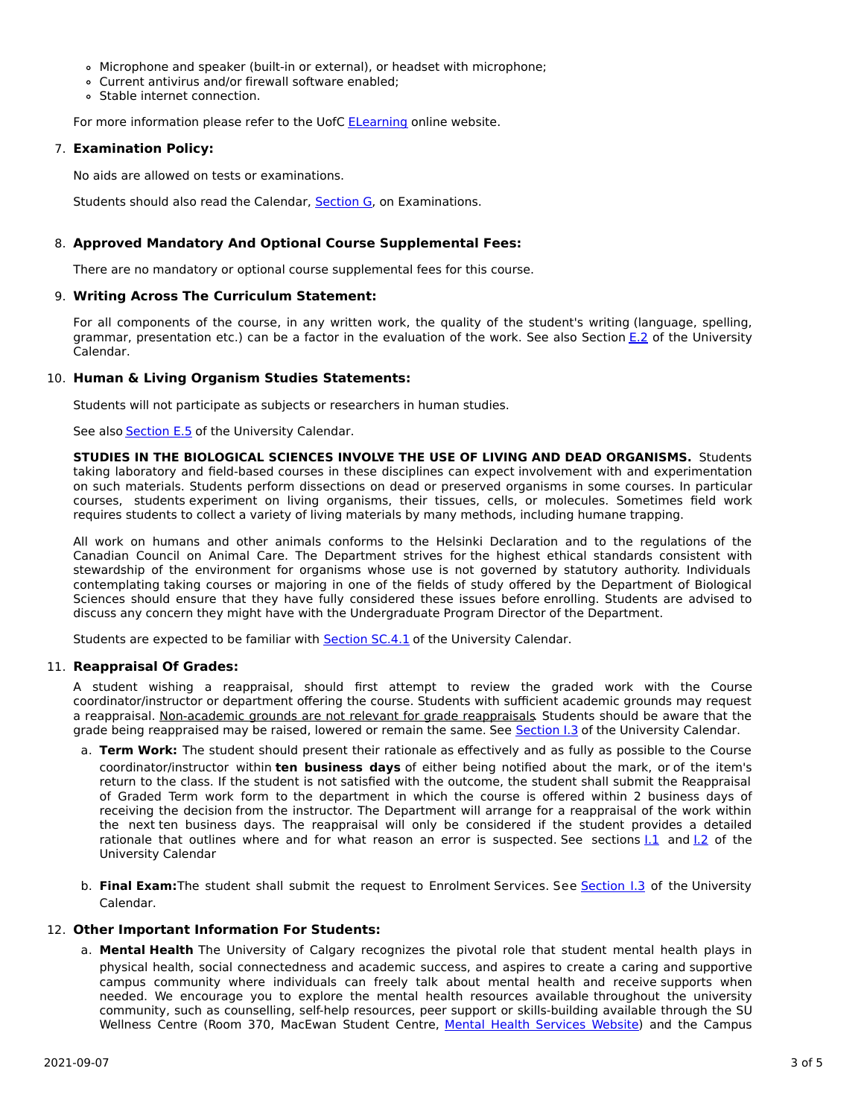- Microphone and speaker (built-in or external), or headset with microphone;
- Current antivirus and/or firewall software enabled;
- Stable internet connection.

For more information please refer to the UofC **[ELearning](https://elearn.ucalgary.ca/technology-requirements-for-students)** online website.

# 7. **Examination Policy:**

No aids are allowed on tests or examinations.

Students should also read the Calendar, [Section](http://www.ucalgary.ca/pubs/calendar/current/g.html) G, on Examinations.

# 8. **Approved Mandatory And Optional Course Supplemental Fees:**

There are no mandatory or optional course supplemental fees for this course.

# 9. **Writing Across The Curriculum Statement:**

For all components of the course, in any written work, the quality of the student's writing (language, spelling, grammar, presentation etc.) can be a factor in the evaluation of the work. See also Section [E.2](http://www.ucalgary.ca/pubs/calendar/current/e-2.html) of the University Calendar.

# 10. **Human & Living Organism Studies Statements:**

Students will not participate as subjects or researchers in human studies.

See also [Section](http://www.ucalgary.ca/pubs/calendar/current/e-5.html) E.5 of the University Calendar.

**STUDIES IN THE BIOLOGICAL SCIENCES INVOLVE THE USE OF LIVING AND DEAD ORGANISMS.** Students taking laboratory and field-based courses in these disciplines can expect involvement with and experimentation on such materials. Students perform dissections on dead or preserved organisms in some courses. In particular courses, students experiment on living organisms, their tissues, cells, or molecules. Sometimes field work requires students to collect a variety of living materials by many methods, including humane trapping.

All work on humans and other animals conforms to the Helsinki Declaration and to the regulations of the Canadian Council on Animal Care. The Department strives for the highest ethical standards consistent with stewardship of the environment for organisms whose use is not governed by statutory authority. Individuals contemplating taking courses or majoring in one of the fields of study offered by the Department of Biological Sciences should ensure that they have fully considered these issues before enrolling. Students are advised to discuss any concern they might have with the Undergraduate Program Director of the Department.

Students are expected to be familiar with **[Section](http://www.ucalgary.ca/pubs/calendar/current/sc-4-1.html) SC.4.1** of the University Calendar.

# 11. **Reappraisal Of Grades:**

A student wishing a reappraisal, should first attempt to review the graded work with the Course coordinator/instructor or department offering the course. Students with sufficient academic grounds may request a reappraisal. Non-academic grounds are not relevant for grade reappraisals. Students should be aware that the grade being reappraised may be raised, lowered or remain the same. See [Section](http://www.ucalgary.ca/pubs/calendar/current/i-3.html) I.3 of the University Calendar.

- a. **Term Work:** The student should present their rationale as effectively and as fully as possible to the Course coordinator/instructor within **ten business days** of either being notified about the mark, or of the item's return to the class. If the student is not satisfied with the outcome, the student shall submit the Reappraisal of Graded Term work form to the department in which the course is offered within 2 business days of receiving the decision from the instructor. The Department will arrange for a reappraisal of the work within the next ten business days. The reappraisal will only be considered if the student provides a detailed rationale that outlines where and for what reason an error is suspected. See sections  $1.1$  and  $1.2$  of the University Calendar
- b. **Final Exam:**The student shall submit the request to Enrolment Services. See [Section](http://www.ucalgary.ca/pubs/calendar/current/i-3.html) I.3 of the University Calendar.

# 12. **Other Important Information For Students:**

a. **Mental Health** The University of Calgary recognizes the pivotal role that student mental health plays in physical health, social connectedness and academic success, and aspires to create a caring and supportive campus community where individuals can freely talk about mental health and receive supports when needed. We encourage you to explore the mental health resources available throughout the university community, such as counselling, self-help resources, peer support or skills-building available through the SU Wellness Centre (Room 370, MacEwan Student Centre, Mental Health [Services](https://www.ucalgary.ca/wellnesscentre/services/mental-health-services) Website) and the Campus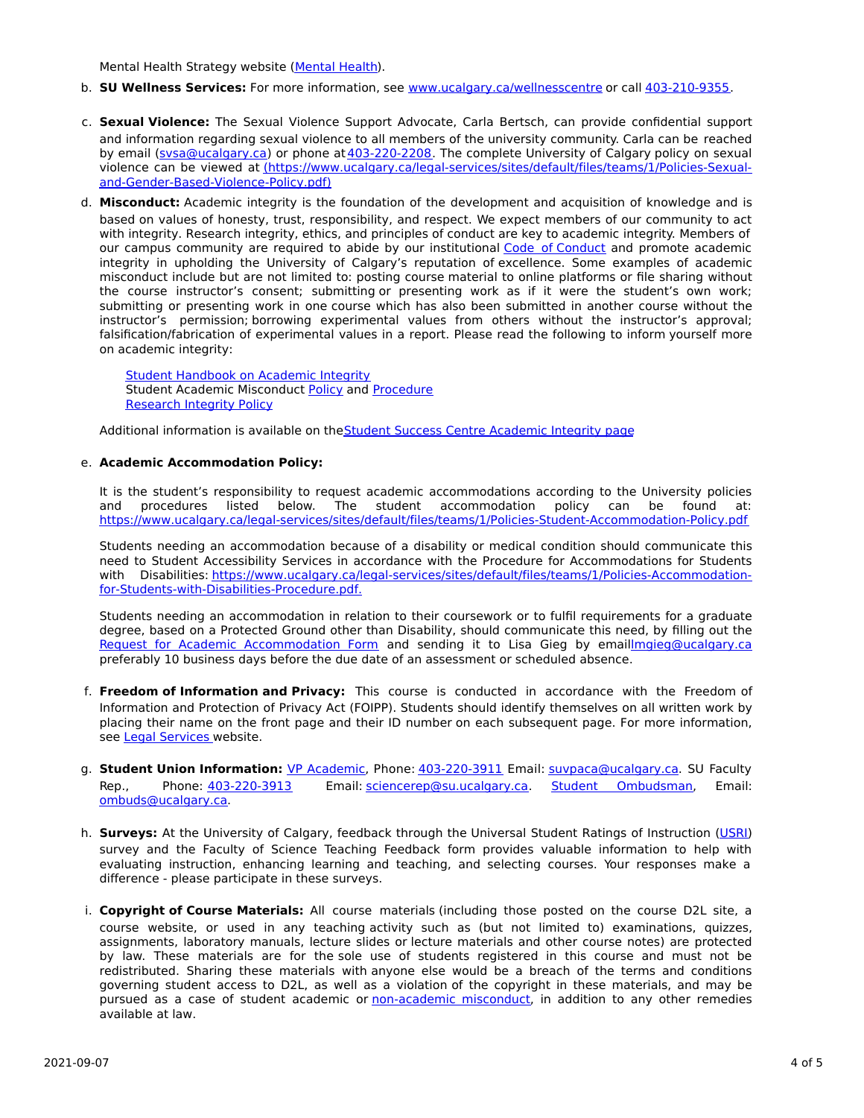Mental Health Strategy website [\(Mental](http://www.ucalgary.ca/mentalhealth) Health).

- b. **SU Wellness Services:** For more information, see [www.ucalgary.ca/wellnesscentre](http://www.ucalgary.ca/wellnesscentre) or call [403-210-9355.](tel:4032109355)
- c. **Sexual Violence:** The Sexual Violence Support Advocate, Carla Bertsch, can provide confidential support and information regarding sexual violence to all members of the university community. Carla can be reached by email [\(svsa@ucalgary.ca](mailto:svsa@ucalgary.ca)) or phone at [403-220-2208](tel:4032202208). The complete University of Calgary policy on sexual violence can be viewed at [\(https://www.ucalgary.ca/legal-services/sites/default/files/teams/1/Policies-Sexual](https://www.ucalgary.ca/legal-services/sites/default/files/teams/1/Policies-Sexual-and-Gender-Based-Violence-Policy.pdf)and-Gender-Based-Violence-Policy.pdf)
- d. **Misconduct:** Academic integrity is the foundation of the development and acquisition of knowledge and is based on values of honesty, trust, responsibility, and respect. We expect members of our community to act with integrity. Research integrity, ethics, and principles of conduct are key to academic integrity. Members of our campus community are required to abide by our institutional Code of [Conduct](https://www.ucalgary.ca/legal-services/sites/default/files/teams/1/Policies-Code-of-Conduct.pdf) and promote academic integrity in upholding the University of Calgary's reputation of excellence. Some examples of academic misconduct include but are not limited to: posting course material to online platforms or file sharing without the course instructor's consent; submitting or presenting work as if it were the student's own work; submitting or presenting work in one course which has also been submitted in another course without the instructor's permission; borrowing experimental values from others without the instructor's approval; falsification/fabrication of experimental values in a report. Please read the following to inform yourself more on academic integrity:

Student [Handbook](https://www.ucalgary.ca/live-uc-ucalgary-site/sites/default/files/teams/9/AI-Student-handbook-1.pdf) on Academic Integrity Student Academic Misconduct [Policy](https://www.ucalgary.ca/legal-services/sites/default/files/teams/1/Policies-Student-Academic-Misconduct-Policy.pdf) and [Procedure](https://www.ucalgary.ca/legal-services/sites/default/files/teams/1/Policies-Student-Academic-Misconduct-Procedure.pdf) [Research](https://www.ucalgary.ca/legal-services/sites/default/files/teams/1/Policies-Research-Integrity-Policy.pdf) Integrity Policy

Additional information is available on the Student Success Centre [Academic](https://ucalgary.ca/student-services/student-success/learning/academic-integrity) Integrity page

#### e. **Academic Accommodation Policy:**

It is the student's responsibility to request academic accommodations according to the University policies and procedures listed below. The student accommodation policy can be found at: <https://www.ucalgary.ca/legal-services/sites/default/files/teams/1/Policies-Student-Accommodation-Policy.pdf>

Students needing an accommodation because of a disability or medical condition should communicate this need to Student Accessibility Services in accordance with the Procedure for Accommodations for Students with Disabilities: [https://www.ucalgary.ca/legal-services/sites/default/files/teams/1/Policies-Accommodation](https://www.ucalgary.ca/legal-services/sites/default/files/teams/1/Policies-Accommodation-for-Students-with-Disabilities-Procedure.pdf)for-Students-with-Disabilities-Procedure.pdf.

Students needing an accommodation in relation to their coursework or to fulfil requirements for a graduate degree, based on a Protected Ground other than Disability, should communicate this need, by filling out the Request for Academic [Accommodation](https://science.ucalgary.ca/sites/default/files/teams/1/request-accommodation-academic-courses.pdf) Form and sending it to Lisa Gieg by emai[llmgieg@ucalgary.ca](mailto:lmgieg@ucalgary.ca) preferably 10 business days before the due date of an assessment or scheduled absence.

- f. **Freedom of Information and Privacy:** This course is conducted in accordance with the Freedom of Information and Protection of Privacy Act (FOIPP). Students should identify themselves on all written work by placing their name on the front page and their ID number on each subsequent page. For more information, see Legal [Services](https://www.ucalgary.ca/legal-services/access-information-privacy) website.
- g. **Student Union Information:** VP [Academic](http://www.su.ucalgary.ca/contact), Phone: [403-220-3911](tel:4032203911) Email: [suvpaca@ucalgary.ca](mailto:suvpaca@ucalgary.ca). SU Faculty Rep., Phone: [403-220-3913](tel:4032203913) Email: [sciencerep@su.ucalgary.ca](mailto:sciencerep@su.ucalgary.ca). Student [Ombudsman](https://www.ucalgary.ca/ombuds/), Email: [ombuds@ucalgary.ca](mailto:%20ombuds@ucalgary.ca).
- h. **Surveys:** At the University of Calgary, feedback through the Universal Student Ratings of Instruction [\(USRI](http://www.ucalgary.ca/usri)) survey and the Faculty of Science Teaching Feedback form provides valuable information to help with evaluating instruction, enhancing learning and teaching, and selecting courses. Your responses make a difference - please participate in these surveys.
- i. **Copyright of Course Materials:** All course materials (including those posted on the course D2L site, a course website, or used in any teaching activity such as (but not limited to) examinations, quizzes, assignments, laboratory manuals, lecture slides or lecture materials and other course notes) are protected by law. These materials are for the sole use of students registered in this course and must not be redistributed. Sharing these materials with anyone else would be a breach of the terms and conditions governing student access to D2L, as well as a violation of the copyright in these materials, and may be pursued as a case of student academic or [non-academic](https://www.ucalgary.ca/conduct/policy/non-academic-misconduct-policy) misconduct, in addition to any other remedies available at law.